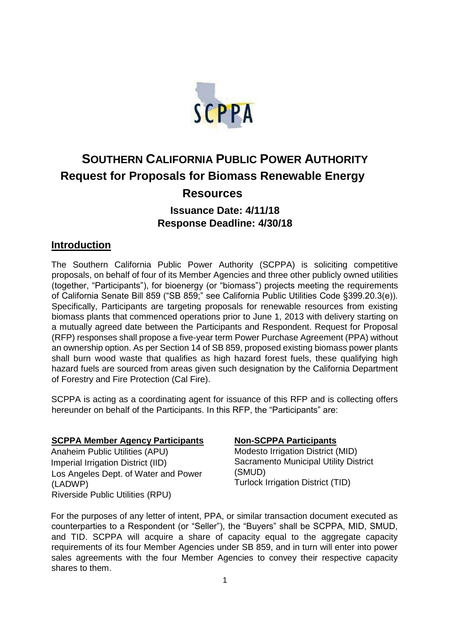

# **SOUTHERN CALIFORNIA PUBLIC POWER AUTHORITY Request for Proposals for Biomass Renewable Energy**

# **Resources**

## **Issuance Date: 4/11/18 Response Deadline: 4/30/18**

### **Introduction**

The Southern California Public Power Authority (SCPPA) is soliciting competitive proposals, on behalf of four of its Member Agencies and three other publicly owned utilities (together, "Participants"), for bioenergy (or "biomass") projects meeting the requirements of California Senate Bill 859 ("SB 859;" see California Public Utilities Code §399.20.3(e)). Specifically, Participants are targeting proposals for renewable resources from existing biomass plants that commenced operations prior to June 1, 2013 with delivery starting on a mutually agreed date between the Participants and Respondent. Request for Proposal (RFP) responses shall propose a five-year term Power Purchase Agreement (PPA) without an ownership option. As per Section 14 of SB 859, proposed existing biomass power plants shall burn wood waste that qualifies as high hazard forest fuels, these qualifying high hazard fuels are sourced from areas given such designation by the California Department of Forestry and Fire Protection (Cal Fire).

SCPPA is acting as a coordinating agent for issuance of this RFP and is collecting offers hereunder on behalf of the Participants. In this RFP, the "Participants" are:

### **SCPPA Member Agency Participants**

Anaheim Public Utilities (APU) Imperial Irrigation District (IID) Los Angeles Dept. of Water and Power (LADWP) Riverside Public Utilities (RPU)

### **Non-SCPPA Participants**

Modesto Irrigation District (MID) Sacramento Municipal Utility District (SMUD) Turlock Irrigation District (TID)

For the purposes of any letter of intent, PPA, or similar transaction document executed as counterparties to a Respondent (or "Seller"), the "Buyers" shall be SCPPA, MID, SMUD, and TID. SCPPA will acquire a share of capacity equal to the aggregate capacity requirements of its four Member Agencies under SB 859, and in turn will enter into power sales agreements with the four Member Agencies to convey their respective capacity shares to them.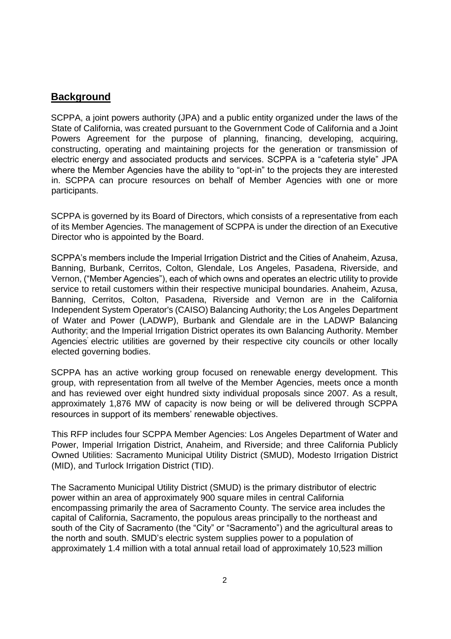### **Background**

SCPPA, a joint powers authority (JPA) and a public entity organized under the laws of the State of California, was created pursuant to the Government Code of California and a Joint Powers Agreement for the purpose of planning, financing, developing, acquiring, constructing, operating and maintaining projects for the generation or transmission of electric energy and associated products and services. SCPPA is a "cafeteria style" JPA where the Member Agencies have the ability to "opt-in" to the projects they are interested in. SCPPA can procure resources on behalf of Member Agencies with one or more participants.

SCPPA is governed by its Board of Directors, which consists of a representative from each of its Member Agencies. The management of SCPPA is under the direction of an Executive Director who is appointed by the Board.

SCPPA's members include the Imperial Irrigation District and the Cities of Anaheim, Azusa, Banning, Burbank, Cerritos, Colton, Glendale, Los Angeles, Pasadena, Riverside, and Vernon, ("Member Agencies"), each of which owns and operates an electric utility to provide service to retail customers within their respective municipal boundaries. Anaheim, Azusa, Banning, Cerritos, Colton, Pasadena, Riverside and Vernon are in the California Independent System Operator's (CAISO) Balancing Authority; the Los Angeles Department of Water and Power (LADWP), Burbank and Glendale are in the LADWP Balancing Authority; and the Imperial Irrigation District operates its own Balancing Authority. Member Agencies' electric utilities are governed by their respective city councils or other locally elected governing bodies.

SCPPA has an active working group focused on renewable energy development. This group, with representation from all twelve of the Member Agencies, meets once a month and has reviewed over eight hundred sixty individual proposals since 2007. As a result, approximately 1,876 MW of capacity is now being or will be delivered through SCPPA resources in support of its members' renewable objectives.

This RFP includes four SCPPA Member Agencies: Los Angeles Department of Water and Power, Imperial Irrigation District, Anaheim, and Riverside; and three California Publicly Owned Utilities: Sacramento Municipal Utility District (SMUD), Modesto Irrigation District (MID), and Turlock Irrigation District (TID).

The Sacramento Municipal Utility District (SMUD) is the primary distributor of electric power within an area of approximately 900 square miles in central California encompassing primarily the area of Sacramento County. The service area includes the capital of California, Sacramento, the populous areas principally to the northeast and south of the City of Sacramento (the "City" or "Sacramento") and the agricultural areas to the north and south. SMUD's electric system supplies power to a population of approximately 1.4 million with a total annual retail load of approximately 10,523 million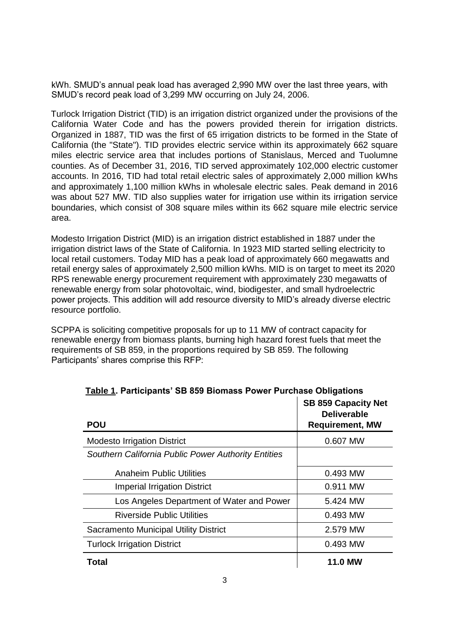kWh. SMUD's annual peak load has averaged 2,990 MW over the last three years, with SMUD's record peak load of 3,299 MW occurring on July 24, 2006.

Turlock Irrigation District (TID) is an irrigation district organized under the provisions of the California Water Code and has the powers provided therein for irrigation districts. Organized in 1887, TID was the first of 65 irrigation districts to be formed in the State of California (the "State"). TID provides electric service within its approximately 662 square miles electric service area that includes portions of Stanislaus, Merced and Tuolumne counties. As of December 31, 2016, TID served approximately 102,000 electric customer accounts. In 2016, TID had total retail electric sales of approximately 2,000 million kWhs and approximately 1,100 million kWhs in wholesale electric sales. Peak demand in 2016 was about 527 MW. TID also supplies water for irrigation use within its irrigation service boundaries, which consist of 308 square miles within its 662 square mile electric service area.

Modesto Irrigation District (MID) is an irrigation district established in 1887 under the irrigation district laws of the State of California. In 1923 MID started selling electricity to local retail customers. Today MID has a peak load of approximately 660 megawatts and retail energy sales of approximately 2,500 million kWhs. MID is on target to meet its 2020 RPS renewable energy procurement requirement with approximately 230 megawatts of renewable energy from solar photovoltaic, wind, biodigester, and small hydroelectric power projects. This addition will add resource diversity to MID's already diverse electric resource portfolio.

SCPPA is soliciting competitive proposals for up to 11 MW of contract capacity for renewable energy from biomass plants, burning high hazard forest fuels that meet the requirements of SB 859, in the proportions required by SB 859. The following Participants' shares comprise this RFP:

| Table 1. I annoipants OD 000 Divinass Fower Functiose Obligations |                                                                            |  |  |  |  |
|-------------------------------------------------------------------|----------------------------------------------------------------------------|--|--|--|--|
| <b>POU</b>                                                        | <b>SB 859 Capacity Net</b><br><b>Deliverable</b><br><b>Requirement, MW</b> |  |  |  |  |
| <b>Modesto Irrigation District</b>                                | 0.607 MW                                                                   |  |  |  |  |
| Southern California Public Power Authority Entities               |                                                                            |  |  |  |  |
| <b>Anaheim Public Utilities</b>                                   | 0.493 MW                                                                   |  |  |  |  |
| <b>Imperial Irrigation District</b>                               | 0.911 MW                                                                   |  |  |  |  |
| Los Angeles Department of Water and Power                         | 5.424 MW                                                                   |  |  |  |  |
| <b>Riverside Public Utilities</b>                                 | 0.493 MW                                                                   |  |  |  |  |
| <b>Sacramento Municipal Utility District</b>                      | 2.579 MW                                                                   |  |  |  |  |
| <b>Turlock Irrigation District</b>                                | 0.493 MW                                                                   |  |  |  |  |
| <b>Total</b>                                                      | <b>11.0 MW</b>                                                             |  |  |  |  |

| <u>Table 1</u> . Participants' SB 859 Biomass Power Purchase Obligations |  |  |  |
|--------------------------------------------------------------------------|--|--|--|
|                                                                          |  |  |  |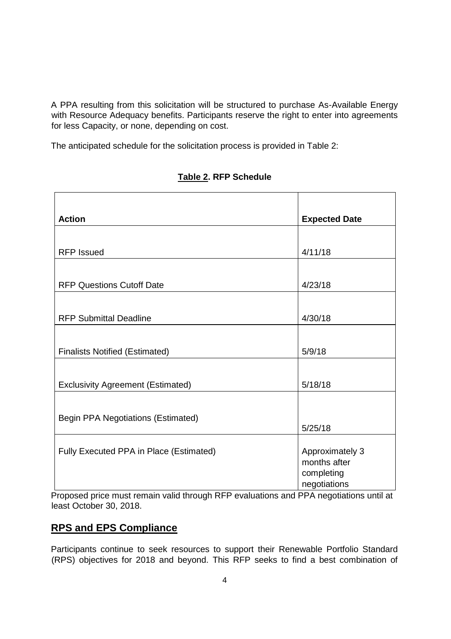A PPA resulting from this solicitation will be structured to purchase As-Available Energy with Resource Adequacy benefits. Participants reserve the right to enter into agreements for less Capacity, or none, depending on cost.

The anticipated schedule for the solicitation process is provided in Table 2:

| <b>Action</b>                             | <b>Expected Date</b> |  |  |
|-------------------------------------------|----------------------|--|--|
|                                           |                      |  |  |
| <b>RFP Issued</b>                         | 4/11/18              |  |  |
|                                           |                      |  |  |
| <b>RFP Questions Cutoff Date</b>          | 4/23/18              |  |  |
|                                           |                      |  |  |
| <b>RFP Submittal Deadline</b>             | 4/30/18              |  |  |
|                                           |                      |  |  |
| <b>Finalists Notified (Estimated)</b>     | 5/9/18               |  |  |
|                                           |                      |  |  |
| <b>Exclusivity Agreement (Estimated)</b>  | 5/18/18              |  |  |
|                                           |                      |  |  |
| <b>Begin PPA Negotiations (Estimated)</b> |                      |  |  |
|                                           | 5/25/18              |  |  |
| Fully Executed PPA in Place (Estimated)   | Approximately 3      |  |  |
|                                           | months after         |  |  |
|                                           | completing           |  |  |
|                                           | negotiations         |  |  |

### **Table 2. RFP Schedule**

Proposed price must remain valid through RFP evaluations and PPA negotiations until at least October 30, 2018.

### **RPS and EPS Compliance**

Participants continue to seek resources to support their Renewable Portfolio Standard (RPS) objectives for 2018 and beyond. This RFP seeks to find a best combination of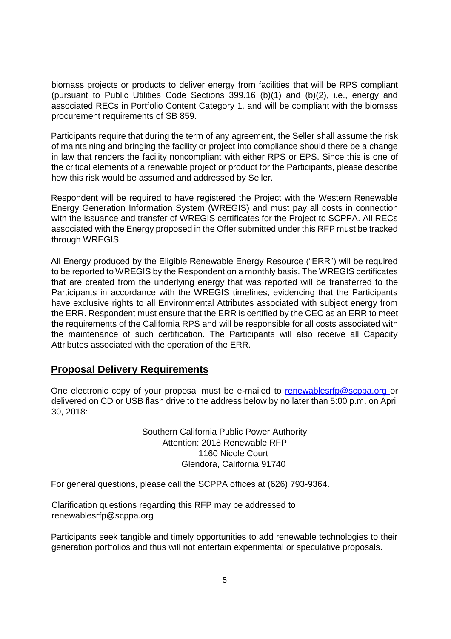biomass projects or products to deliver energy from facilities that will be RPS compliant (pursuant to Public Utilities Code Sections 399.16 (b)(1) and (b)(2), i.e., energy and associated RECs in Portfolio Content Category 1, and will be compliant with the biomass procurement requirements of SB 859.

Participants require that during the term of any agreement, the Seller shall assume the risk of maintaining and bringing the facility or project into compliance should there be a change in law that renders the facility noncompliant with either RPS or EPS. Since this is one of the critical elements of a renewable project or product for the Participants, please describe how this risk would be assumed and addressed by Seller.

Respondent will be required to have registered the Project with the Western Renewable Energy Generation Information System (WREGIS) and must pay all costs in connection with the issuance and transfer of WREGIS certificates for the Project to SCPPA. All RECs associated with the Energy proposed in the Offer submitted under this RFP must be tracked through WREGIS.

All Energy produced by the Eligible Renewable Energy Resource ("ERR") will be required to be reported to WREGIS by the Respondent on a monthly basis. The WREGIS certificates that are created from the underlying energy that was reported will be transferred to the Participants in accordance with the WREGIS timelines, evidencing that the Participants have exclusive rights to all Environmental Attributes associated with subject energy from the ERR. Respondent must ensure that the ERR is certified by the CEC as an ERR to meet the requirements of the California RPS and will be responsible for all costs associated with the maintenance of such certification. The Participants will also receive all Capacity Attributes associated with the operation of the ERR.

### **Proposal Delivery Requirements**

One electronic copy of your proposal must be e-mailed to renewablesrfp@scppa.org or delivered on CD or USB flash drive to the address below by no later than 5:00 p.m. on April 30, 2018:

> Southern California Public Power Authority Attention: 2018 Renewable RFP 1160 Nicole Court Glendora, California 91740

For general questions, please call the SCPPA offices at (626) 793-9364.

Clarification questions regarding this RFP may be addressed to renewablesrfp@scppa.org

Participants seek tangible and timely opportunities to add renewable technologies to their generation portfolios and thus will not entertain experimental or speculative proposals.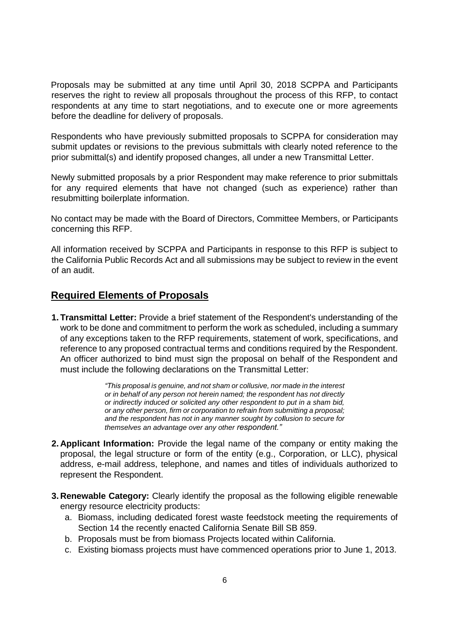Proposals may be submitted at any time until April 30, 2018 SCPPA and Participants reserves the right to review all proposals throughout the process of this RFP, to contact respondents at any time to start negotiations, and to execute one or more agreements before the deadline for delivery of proposals.

Respondents who have previously submitted proposals to SCPPA for consideration may submit updates or revisions to the previous submittals with clearly noted reference to the prior submittal(s) and identify proposed changes, all under a new Transmittal Letter.

Newly submitted proposals by a prior Respondent may make reference to prior submittals for any required elements that have not changed (such as experience) rather than resubmitting boilerplate information.

No contact may be made with the Board of Directors, Committee Members, or Participants concerning this RFP.

All information received by SCPPA and Participants in response to this RFP is subject to the California Public Records Act and all submissions may be subject to review in the event of an audit.

### **Required Elements of Proposals**

**1. Transmittal Letter:** Provide a brief statement of the Respondent's understanding of the work to be done and commitment to perform the work as scheduled, including a summary of any exceptions taken to the RFP requirements, statement of work, specifications, and reference to any proposed contractual terms and conditions required by the Respondent. An officer authorized to bind must sign the proposal on behalf of the Respondent and must include the following declarations on the Transmittal Letter:

> *"This proposal is genuine, and not sham or collusive, nor made in the interest or in behalf of any person not herein named; the respondent has not directly or indirectly induced or solicited any other respondent to put in a sham bid, or any other person, firm or corporation to refrain from submitting a proposal; and the respondent has not in any manner sought by collusion to secure for themselves an advantage over any other respondent."*

- **2. Applicant Information:** Provide the legal name of the company or entity making the proposal, the legal structure or form of the entity (e.g., Corporation, or LLC), physical address, e-mail address, telephone, and names and titles of individuals authorized to represent the Respondent.
- **3. Renewable Category:** Clearly identify the proposal as the following eligible renewable energy resource electricity products:
	- a. Biomass, including dedicated forest waste feedstock meeting the requirements of Section 14 the recently enacted California Senate Bill SB 859.
	- b. Proposals must be from biomass Projects located within California.
	- c. Existing biomass projects must have commenced operations prior to June 1, 2013.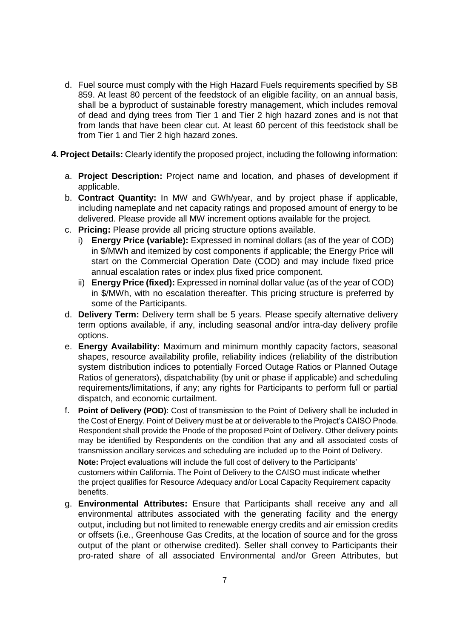- d. Fuel source must comply with the High Hazard Fuels requirements specified by SB 859. At least 80 percent of the feedstock of an eligible facility, on an annual basis, shall be a byproduct of sustainable forestry management, which includes removal of dead and dying trees from Tier 1 and Tier 2 high hazard zones and is not that from lands that have been clear cut. At least 60 percent of this feedstock shall be from Tier 1 and Tier 2 high hazard zones.
- **4.Project Details:** Clearly identify the proposed project, including the following information:
	- a. **Project Description:** Project name and location, and phases of development if applicable.
	- b. **Contract Quantity:** In MW and GWh/year, and by project phase if applicable, including nameplate and net capacity ratings and proposed amount of energy to be delivered. Please provide all MW increment options available for the project.
	- c. **Pricing:** Please provide all pricing structure options available.
		- i) **Energy Price (variable):** Expressed in nominal dollars (as of the year of COD) in \$/MWh and itemized by cost components if applicable; the Energy Price will start on the Commercial Operation Date (COD) and may include fixed price annual escalation rates or index plus fixed price component.
		- ii) **Energy Price (fixed):** Expressed in nominal dollar value (as of the year of COD) in \$/MWh, with no escalation thereafter. This pricing structure is preferred by some of the Participants.
	- d. **Delivery Term:** Delivery term shall be 5 years. Please specify alternative delivery term options available, if any, including seasonal and/or intra-day delivery profile options.
	- e. **Energy Availability:** Maximum and minimum monthly capacity factors, seasonal shapes, resource availability profile, reliability indices (reliability of the distribution system distribution indices to potentially Forced Outage Ratios or Planned Outage Ratios of generators), dispatchability (by unit or phase if applicable) and scheduling requirements/limitations, if any; any rights for Participants to perform full or partial dispatch, and economic curtailment.
	- f. **Point of Delivery (POD)**: Cost of transmission to the Point of Delivery shall be included in the Cost of Energy. Point of Delivery must be at or deliverable to the Project's CAISO Pnode. Respondent shall provide the Pnode of the proposed Point of Delivery. Other delivery points may be identified by Respondents on the condition that any and all associated costs of transmission ancillary services and scheduling are included up to the Point of Delivery. **Note:** Project evaluations will include the full cost of delivery to the Participants' customers within California. The Point of Delivery to the CAISO must indicate whether the project qualifies for Resource Adequacy and/or Local Capacity Requirement capacity benefits.
	- g. **Environmental Attributes:** Ensure that Participants shall receive any and all environmental attributes associated with the generating facility and the energy output, including but not limited to renewable energy credits and air emission credits or offsets (i.e., Greenhouse Gas Credits, at the location of source and for the gross output of the plant or otherwise credited). Seller shall convey to Participants their pro-rated share of all associated Environmental and/or Green Attributes, but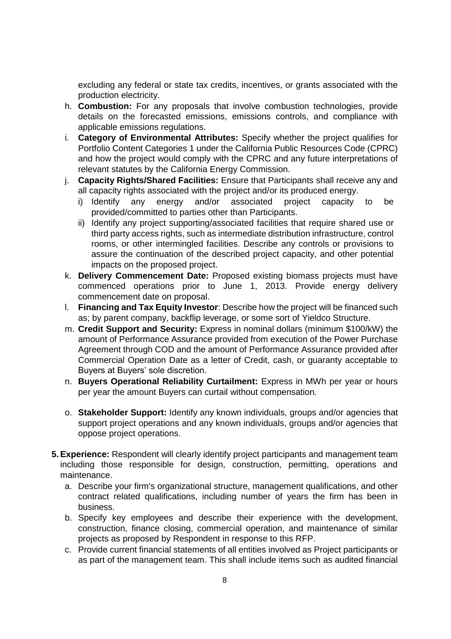excluding any federal or state tax credits, incentives, or grants associated with the production electricity.

- h. **Combustion:** For any proposals that involve combustion technologies, provide details on the forecasted emissions, emissions controls, and compliance with applicable emissions regulations.
- i. **Category of Environmental Attributes:** Specify whether the project qualifies for Portfolio Content Categories 1 under the California Public Resources Code (CPRC) and how the project would comply with the CPRC and any future interpretations of relevant statutes by the California Energy Commission.
- j. **Capacity Rights/Shared Facilities:** Ensure that Participants shall receive any and all capacity rights associated with the project and/or its produced energy.
	- i) Identify any energy and/or associated project capacity to be provided/committed to parties other than Participants.
	- ii) Identify any project supporting/associated facilities that require shared use or third party access rights, such as intermediate distribution infrastructure, control rooms, or other intermingled facilities. Describe any controls or provisions to assure the continuation of the described project capacity, and other potential impacts on the proposed project.
- k. **Delivery Commencement Date:** Proposed existing biomass projects must have commenced operations prior to June 1, 2013. Provide energy delivery commencement date on proposal.
- l. **Financing and Tax Equity Investor**: Describe how the project will be financed such as; by parent company, backflip leverage, or some sort of Yieldco Structure.
- m. **Credit Support and Security:** Express in nominal dollars (minimum \$100/kW) the amount of Performance Assurance provided from execution of the Power Purchase Agreement through COD and the amount of Performance Assurance provided after Commercial Operation Date as a letter of Credit, cash, or guaranty acceptable to Buyers at Buyers' sole discretion.
- n. **Buyers Operational Reliability Curtailment:** Express in MWh per year or hours per year the amount Buyers can curtail without compensation.
- o. **Stakeholder Support:** Identify any known individuals, groups and/or agencies that support project operations and any known individuals, groups and/or agencies that oppose project operations.
- **5.Experience:** Respondent will clearly identify project participants and management team including those responsible for design, construction, permitting, operations and maintenance.
	- a. Describe your firm's organizational structure, management qualifications, and other contract related qualifications, including number of years the firm has been in business.
	- b. Specify key employees and describe their experience with the development, construction, finance closing, commercial operation, and maintenance of similar projects as proposed by Respondent in response to this RFP.
	- c. Provide current financial statements of all entities involved as Project participants or as part of the management team. This shall include items such as audited financial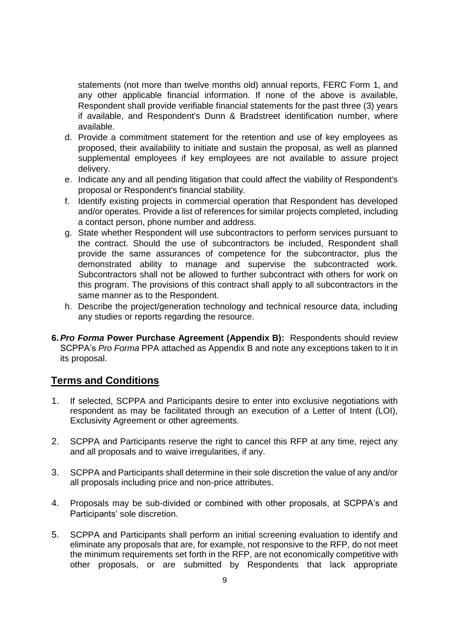statements (not more than twelve months old) annual reports, FERC Form 1, and any other applicable financial information. If none of the above is available, Respondent shall provide verifiable financial statements for the past three (3) years if available, and Respondent's Dunn & Bradstreet identification number, where available.

- d. Provide a commitment statement for the retention and use of key employees as proposed, their availability to initiate and sustain the proposal, as well as planned supplemental employees if key employees are not available to assure project delivery.
- e. Indicate any and all pending litigation that could affect the viability of Respondent's proposal or Respondent's financial stability.
- f. Identify existing projects in commercial operation that Respondent has developed and/or operates. Provide a list of references for similar projects completed, including a contact person, phone number and address.
- g. State whether Respondent will use subcontractors to perform services pursuant to the contract. Should the use of subcontractors be included, Respondent shall provide the same assurances of competence for the subcontractor, plus the demonstrated ability to manage and supervise the subcontracted work. Subcontractors shall not be allowed to further subcontract with others for work on this program. The provisions of this contract shall apply to all subcontractors in the same manner as to the Respondent.
- h. Describe the project/generation technology and technical resource data, including any studies or reports regarding the resource.
- **6.***Pro Forma* **Power Purchase Agreement (Appendix B):** Respondents should review SCPPA's *Pro Forma* PPA attached as Appendix B and note any exceptions taken to it in its proposal.

### **Terms and Conditions**

- 1. If selected, SCPPA and Participants desire to enter into exclusive negotiations with respondent as may be facilitated through an execution of a Letter of Intent (LOI), Exclusivity Agreement or other agreements.
- 2. SCPPA and Participants reserve the right to cancel this RFP at any time, reject any and all proposals and to waive irregularities, if any.
- 3. SCPPA and Participants shall determine in their sole discretion the value of any and/or all proposals including price and non-price attributes.
- 4. Proposals may be sub-divided or combined with other proposals, at SCPPA's and Participants' sole discretion.
- 5. SCPPA and Participants shall perform an initial screening evaluation to identify and eliminate any proposals that are, for example, not responsive to the RFP, do not meet the minimum requirements set forth in the RFP, are not economically competitive with other proposals, or are submitted by Respondents that lack appropriate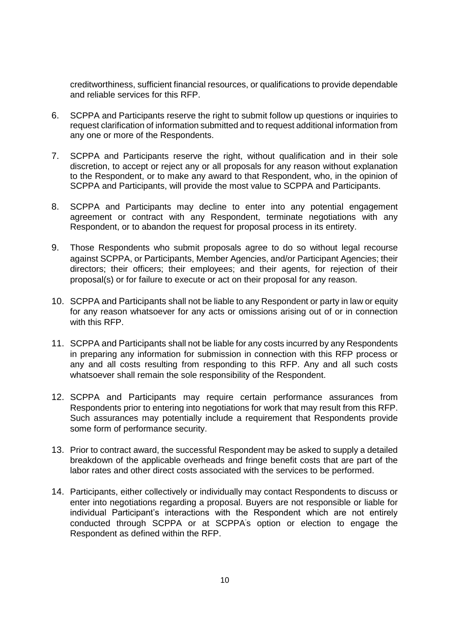creditworthiness, sufficient financial resources, or qualifications to provide dependable and reliable services for this RFP.

- 6. SCPPA and Participants reserve the right to submit follow up questions or inquiries to request clarification of information submitted and to request additional information from any one or more of the Respondents.
- 7. SCPPA and Participants reserve the right, without qualification and in their sole discretion, to accept or reject any or all proposals for any reason without explanation to the Respondent, or to make any award to that Respondent, who, in the opinion of SCPPA and Participants, will provide the most value to SCPPA and Participants.
- 8. SCPPA and Participants may decline to enter into any potential engagement agreement or contract with any Respondent, terminate negotiations with any Respondent, or to abandon the request for proposal process in its entirety.
- 9. Those Respondents who submit proposals agree to do so without legal recourse against SCPPA, or Participants, Member Agencies, and/or Participant Agencies; their directors; their officers; their employees; and their agents, for rejection of their proposal(s) or for failure to execute or act on their proposal for any reason.
- 10. SCPPA and Participants shall not be liable to any Respondent or party in law or equity for any reason whatsoever for any acts or omissions arising out of or in connection with this RFP.
- 11. SCPPA and Participants shall not be liable for any costs incurred by any Respondents in preparing any information for submission in connection with this RFP process or any and all costs resulting from responding to this RFP. Any and all such costs whatsoever shall remain the sole responsibility of the Respondent.
- 12. SCPPA and Participants may require certain performance assurances from Respondents prior to entering into negotiations for work that may result from this RFP. Such assurances may potentially include a requirement that Respondents provide some form of performance security.
- 13. Prior to contract award, the successful Respondent may be asked to supply a detailed breakdown of the applicable overheads and fringe benefit costs that are part of the labor rates and other direct costs associated with the services to be performed.
- 14. Participants, either collectively or individually may contact Respondents to discuss or enter into negotiations regarding a proposal. Buyers are not responsible or liable for individual Participant's interactions with the Respondent which are not entirely conducted through SCPPA or at SCPPA's option or election to engage the Respondent as defined within the RFP.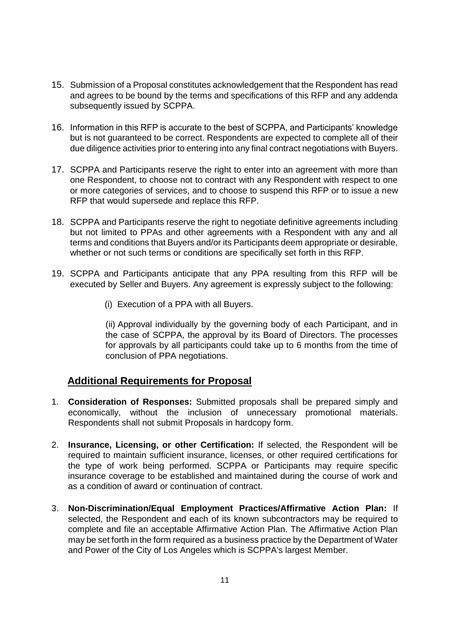- 15. Submission of a Proposal constitutes acknowledgement that the Respondent has read and agrees to be bound by the terms and specifications of this RFP and any addenda subsequently issued by SCPPA.
- 16. Information in this RFP is accurate to the best of SCPPA, and Participants' knowledge but is not guaranteed to be correct. Respondents are expected to complete all of their due diligence activities prior to entering into any final contract negotiations with Buyers.
- 17. SCPPA and Participants reserve the right to enter into an agreement with more than one Respondent, to choose not to contract with any Respondent with respect to one or more categories of services, and to choose to suspend this RFP or to issue a new RFP that would supersede and replace this RFP.
- 18. SCPPA and Participants reserve the right to negotiate definitive agreements including but not limited to PPAs and other agreements with a Respondent with any and all terms and conditions that Buyers and/or its Participants deem appropriate or desirable, whether or not such terms or conditions are specifically set forth in this RFP.
- 19. SCPPA and Participants anticipate that any PPA resulting from this RFP will be executed by Seller and Buyers. Any agreement is expressly subject to the following:
	- (i) Execution of a PPA with all Buyers.

(ii) Approval individually by the governing body of each Participant, and in the case of SCPPA, the approval by its Board of Directors. The processes for approvals by all participants could take up to 6 months from the time of conclusion of PPA negotiations.

### **Additional Requirements for Proposal**

- 1. **Consideration of Responses:** Submitted proposals shall be prepared simply and economically, without the inclusion of unnecessary promotional materials. Respondents shall not submit Proposals in hardcopy form.
- 2. **Insurance, Licensing, or other Certification:** If selected, the Respondent will be required to maintain sufficient insurance, licenses, or other required certifications for the type of work being performed. SCPPA or Participants may require specific insurance coverage to be established and maintained during the course of work and as a condition of award or continuation of contract.
- 3. **Non-Discrimination/Equal Employment Practices/Affirmative Action Plan:** If selected, the Respondent and each of its known subcontractors may be required to complete and file an acceptable Affirmative Action Plan. The Affirmative Action Plan may be set forth in the form required as a business practice by the Department of Water and Power of the City of Los Angeles which is SCPPA's largest Member.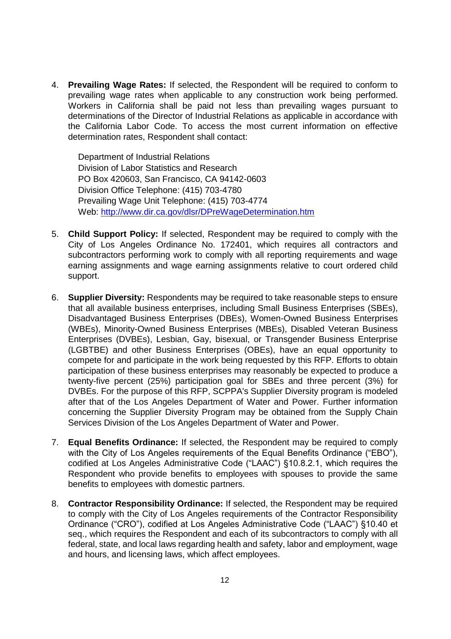4. **Prevailing Wage Rates:** If selected, the Respondent will be required to conform to prevailing wage rates when applicable to any construction work being performed. Workers in California shall be paid not less than prevailing wages pursuant to determinations of the Director of Industrial Relations as applicable in accordance with the California Labor Code. To access the most current information on effective determination rates, Respondent shall contact:

Department of Industrial Relations Division of Labor Statistics and Research PO Box 420603, San Francisco, CA 94142-0603 Division Office Telephone: (415) 703-4780 Prevailing Wage Unit Telephone: (415) 703-4774 Web: http://www.dir.ca.gov/dlsr/DPreWageDetermination.htm

- 5. **Child Support Policy:** If selected, Respondent may be required to comply with the City of Los Angeles Ordinance No. 172401, which requires all contractors and subcontractors performing work to comply with all reporting requirements and wage earning assignments and wage earning assignments relative to court ordered child support.
- 6. **Supplier Diversity:** Respondents may be required to take reasonable steps to ensure that all available business enterprises, including Small Business Enterprises (SBEs), Disadvantaged Business Enterprises (DBEs), Women-Owned Business Enterprises (WBEs), Minority-Owned Business Enterprises (MBEs), Disabled Veteran Business Enterprises (DVBEs), Lesbian, Gay, bisexual, or Transgender Business Enterprise (LGBTBE) and other Business Enterprises (OBEs), have an equal opportunity to compete for and participate in the work being requested by this RFP. Efforts to obtain participation of these business enterprises may reasonably be expected to produce a twenty-five percent (25%) participation goal for SBEs and three percent (3%) for DVBEs. For the purpose of this RFP, SCPPA's Supplier Diversity program is modeled after that of the Los Angeles Department of Water and Power. Further information concerning the Supplier Diversity Program may be obtained from the Supply Chain Services Division of the Los Angeles Department of Water and Power.
- 7. **Equal Benefits Ordinance:** If selected, the Respondent may be required to comply with the City of Los Angeles requirements of the Equal Benefits Ordinance ("EBO"), codified at Los Angeles Administrative Code ("LAAC") §10.8.2.1, which requires the Respondent who provide benefits to employees with spouses to provide the same benefits to employees with domestic partners.
- 8. **Contractor Responsibility Ordinance:** If selected, the Respondent may be required to comply with the City of Los Angeles requirements of the Contractor Responsibility Ordinance ("CRO"), codified at Los Angeles Administrative Code ("LAAC") §10.40 et seq., which requires the Respondent and each of its subcontractors to comply with all federal, state, and local laws regarding health and safety, labor and employment, wage and hours, and licensing laws, which affect employees.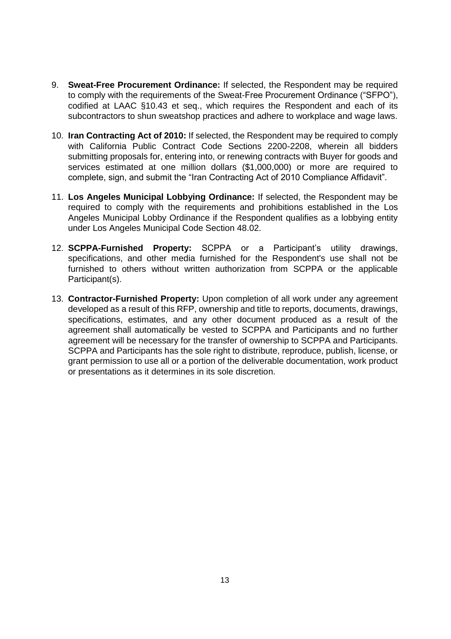- 9. **Sweat-Free Procurement Ordinance:** If selected, the Respondent may be required to comply with the requirements of the Sweat-Free Procurement Ordinance ("SFPO"), codified at LAAC §10.43 et seq., which requires the Respondent and each of its subcontractors to shun sweatshop practices and adhere to workplace and wage laws.
- 10. **Iran Contracting Act of 2010:** If selected, the Respondent may be required to comply with California Public Contract Code Sections 2200-2208, wherein all bidders submitting proposals for, entering into, or renewing contracts with Buyer for goods and services estimated at one million dollars (\$1,000,000) or more are required to complete, sign, and submit the "Iran Contracting Act of 2010 Compliance Affidavit".
- 11. **Los Angeles Municipal Lobbying Ordinance:** If selected, the Respondent may be required to comply with the requirements and prohibitions established in the Los Angeles Municipal Lobby Ordinance if the Respondent qualifies as a lobbying entity under Los Angeles Municipal Code Section 48.02.
- 12. **SCPPA-Furnished Property:** SCPPA or a Participant's utility drawings, specifications, and other media furnished for the Respondent's use shall not be furnished to others without written authorization from SCPPA or the applicable Participant(s).
- 13. **Contractor-Furnished Property:** Upon completion of all work under any agreement developed as a result of this RFP, ownership and title to reports, documents, drawings, specifications, estimates, and any other document produced as a result of the agreement shall automatically be vested to SCPPA and Participants and no further agreement will be necessary for the transfer of ownership to SCPPA and Participants. SCPPA and Participants has the sole right to distribute, reproduce, publish, license, or grant permission to use all or a portion of the deliverable documentation, work product or presentations as it determines in its sole discretion.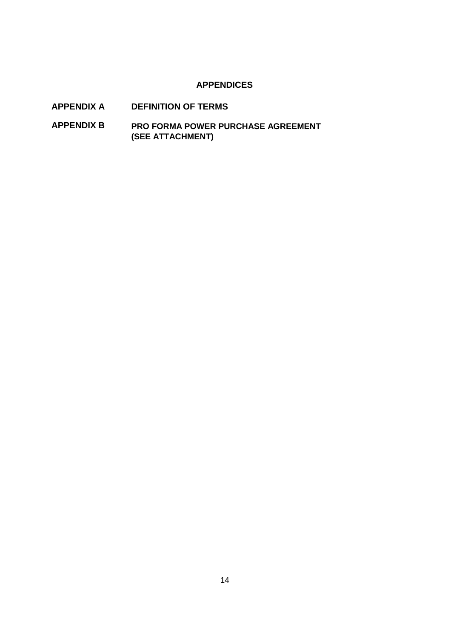#### **APPENDICES**

- **APPENDIX A DEFINITION OF TERMS**
- **APPENDIX B PRO FORMA POWER PURCHASE AGREEMENT (SEE ATTACHMENT)**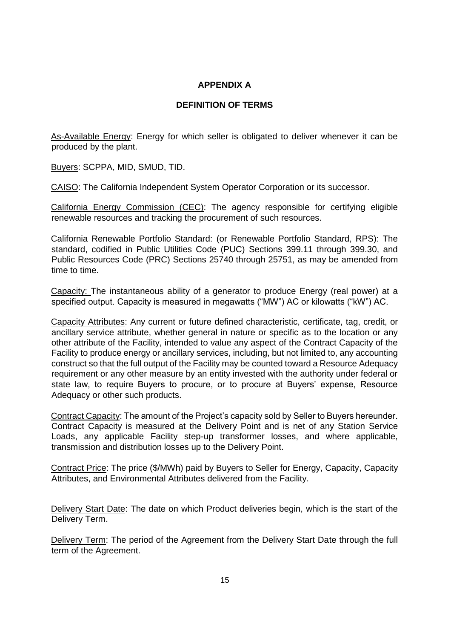### **APPENDIX A**

#### **DEFINITION OF TERMS**

As-Available Energy: Energy for which seller is obligated to deliver whenever it can be produced by the plant.

Buyers: SCPPA, MID, SMUD, TID.

CAISO: The California Independent System Operator Corporation or its successor.

California Energy Commission (CEC): The agency responsible for certifying eligible renewable resources and tracking the procurement of such resources.

California Renewable Portfolio Standard: (or Renewable Portfolio Standard, RPS): The standard, codified in Public Utilities Code (PUC) Sections 399.11 through 399.30, and Public Resources Code (PRC) Sections 25740 through 25751, as may be amended from time to time.

Capacity: The instantaneous ability of a generator to produce Energy (real power) at a specified output. Capacity is measured in megawatts ("MW") AC or kilowatts ("kW") AC.

Capacity Attributes: Any current or future defined characteristic, certificate, tag, credit, or ancillary service attribute, whether general in nature or specific as to the location or any other attribute of the Facility, intended to value any aspect of the Contract Capacity of the Facility to produce energy or ancillary services, including, but not limited to, any accounting construct so that the full output of the Facility may be counted toward a Resource Adequacy requirement or any other measure by an entity invested with the authority under federal or state law, to require Buyers to procure, or to procure at Buyers' expense, Resource Adequacy or other such products.

Contract Capacity: The amount of the Project's capacity sold by Seller to Buyers hereunder. Contract Capacity is measured at the Delivery Point and is net of any Station Service Loads, any applicable Facility step-up transformer losses, and where applicable, transmission and distribution losses up to the Delivery Point.

Contract Price: The price (\$/MWh) paid by Buyers to Seller for Energy, Capacity, Capacity Attributes, and Environmental Attributes delivered from the Facility.

Delivery Start Date: The date on which Product deliveries begin, which is the start of the Delivery Term.

Delivery Term: The period of the Agreement from the Delivery Start Date through the full term of the Agreement.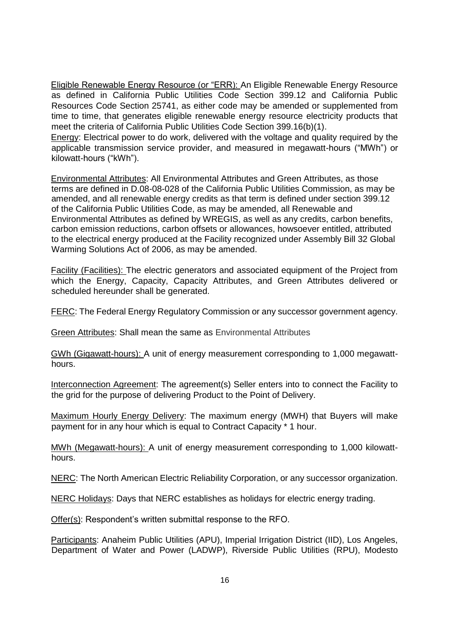Eligible Renewable Energy Resource (or "ERR): An Eligible Renewable Energy Resource as defined in California Public Utilities Code Section 399.12 and California Public Resources Code Section 25741, as either code may be amended or supplemented from time to time, that generates eligible renewable energy resource electricity products that meet the criteria of California Public Utilities Code Section 399.16(b)(1).

Energy: Electrical power to do work, delivered with the voltage and quality required by the applicable transmission service provider, and measured in megawatt-hours ("MWh") or kilowatt-hours ("kWh").

Environmental Attributes: All Environmental Attributes and Green Attributes, as those terms are defined in D.08-08-028 of the California Public Utilities Commission, as may be amended, and all renewable energy credits as that term is defined under section 399.12 of the California Public Utilities Code, as may be amended, all Renewable and Environmental Attributes as defined by WREGIS, as well as any credits, carbon benefits, carbon emission reductions, carbon offsets or allowances, howsoever entitled, attributed to the electrical energy produced at the Facility recognized under Assembly Bill 32 Global Warming Solutions Act of 2006, as may be amended.

Facility (Facilities): The electric generators and associated equipment of the Project from which the Energy, Capacity, Capacity Attributes, and Green Attributes delivered or scheduled hereunder shall be generated.

FERC: The Federal Energy Regulatory Commission or any successor government agency.

Green Attributes: Shall mean the same as Environmental Attributes

GWh (Gigawatt-hours): A unit of energy measurement corresponding to 1,000 megawatthours.

Interconnection Agreement: The agreement(s) Seller enters into to connect the Facility to the grid for the purpose of delivering Product to the Point of Delivery.

Maximum Hourly Energy Delivery: The maximum energy (MWH) that Buyers will make payment for in any hour which is equal to Contract Capacity \* 1 hour.

MWh (Megawatt-hours): A unit of energy measurement corresponding to 1,000 kilowatthours.

NERC: The North American Electric Reliability Corporation, or any successor organization.

NERC Holidays: Days that NERC establishes as holidays for electric energy trading.

Offer(s): Respondent's written submittal response to the RFO.

Participants: Anaheim Public Utilities (APU), Imperial Irrigation District (IID), Los Angeles, Department of Water and Power (LADWP), Riverside Public Utilities (RPU), Modesto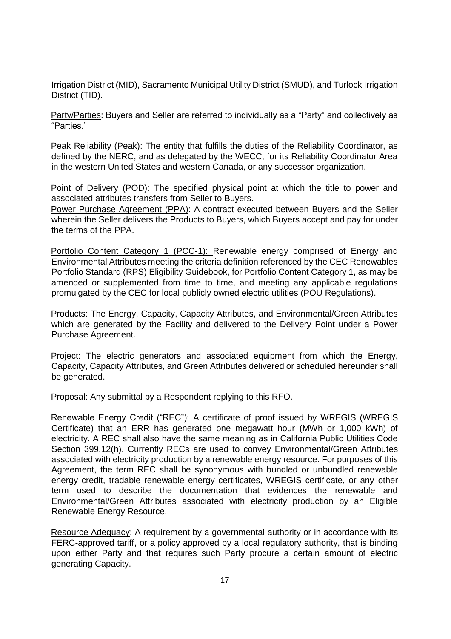Irrigation District (MID), Sacramento Municipal Utility District (SMUD), and Turlock Irrigation District (TID).

Party/Parties: Buyers and Seller are referred to individually as a "Party" and collectively as "Parties."

Peak Reliability (Peak): The entity that fulfills the duties of the Reliability Coordinator, as defined by the NERC, and as delegated by the WECC, for its Reliability Coordinator Area in the western United States and western Canada, or any successor organization.

Point of Delivery (POD): The specified physical point at which the title to power and associated attributes transfers from Seller to Buyers.

Power Purchase Agreement (PPA): A contract executed between Buyers and the Seller wherein the Seller delivers the Products to Buyers, which Buyers accept and pay for under the terms of the PPA.

Portfolio Content Category 1 (PCC-1): Renewable energy comprised of Energy and Environmental Attributes meeting the criteria definition referenced by the CEC Renewables Portfolio Standard (RPS) Eligibility Guidebook, for Portfolio Content Category 1, as may be amended or supplemented from time to time, and meeting any applicable regulations promulgated by the CEC for local publicly owned electric utilities (POU Regulations).

Products: The Energy, Capacity, Capacity Attributes, and Environmental/Green Attributes which are generated by the Facility and delivered to the Delivery Point under a Power Purchase Agreement.

Project: The electric generators and associated equipment from which the Energy, Capacity, Capacity Attributes, and Green Attributes delivered or scheduled hereunder shall be generated.

**Proposal:** Any submittal by a Respondent replying to this RFO.

Renewable Energy Credit ("REC"): A certificate of proof issued by WREGIS (WREGIS Certificate) that an ERR has generated one megawatt hour (MWh or 1,000 kWh) of electricity. A REC shall also have the same meaning as in California Public Utilities Code Section 399.12(h). Currently RECs are used to convey Environmental/Green Attributes associated with electricity production by a renewable energy resource. For purposes of this Agreement, the term REC shall be synonymous with bundled or unbundled renewable energy credit, tradable renewable energy certificates, WREGIS certificate, or any other term used to describe the documentation that evidences the renewable and Environmental/Green Attributes associated with electricity production by an Eligible Renewable Energy Resource.

Resource Adequacy: A requirement by a governmental authority or in accordance with its FERC-approved tariff, or a policy approved by a local regulatory authority, that is binding upon either Party and that requires such Party procure a certain amount of electric generating Capacity.